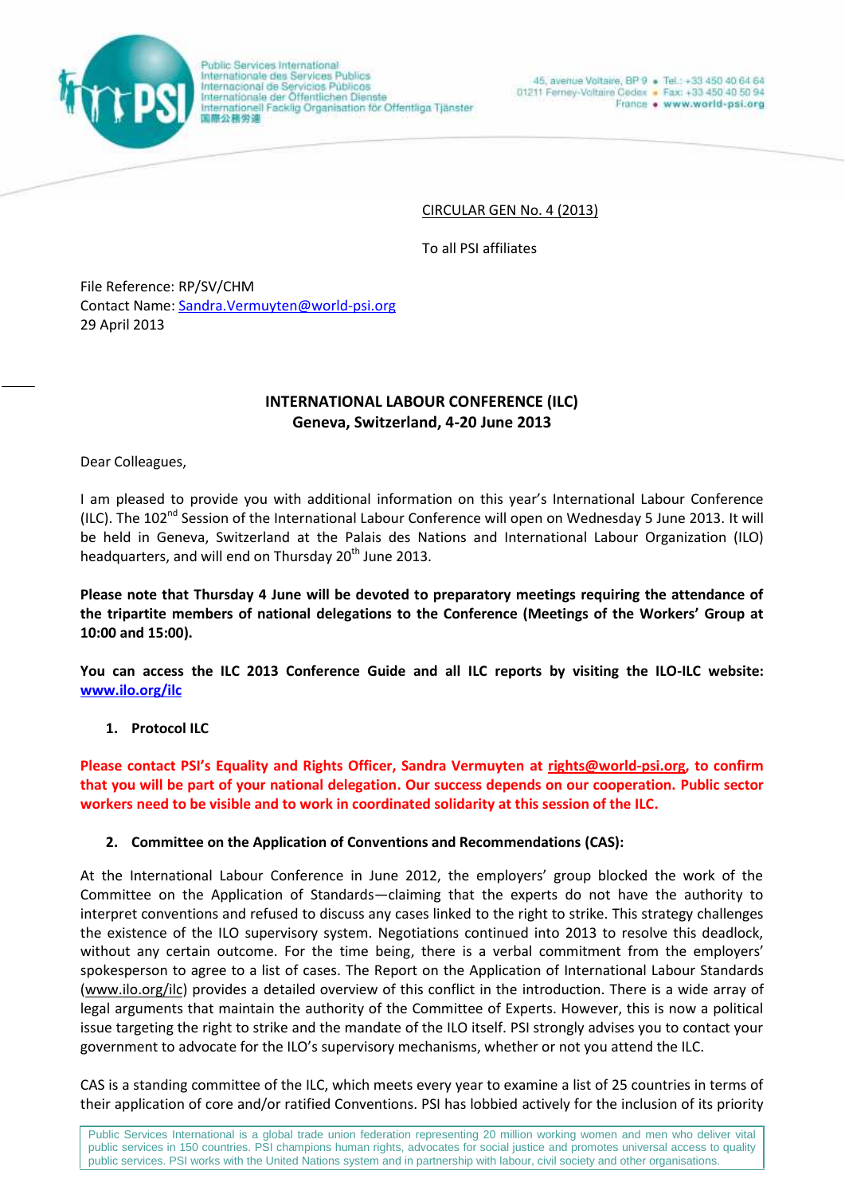

Public Sarvices International Internationale des Services Publics Internacional de Servicios Públicos<br>Internationale der Öffentlichen Dienste Internationell Facklig Organisation för Offentliga Tjänster 国際公務労連

CIRCULAR GEN No. 4 (2013)

To all PSI affiliates

File Reference: RP/SV/CHM Contact Name: Sandra.Vermuyten@world-psi.org 29 April 2013

# **INTERNATIONAL LABOUR CONFERENCE (ILC) Geneva, Switzerland, 4-20 June 2013**

Dear Colleagues,

I am pleased to provide you with additional information on this year's International Labour Conference (ILC). The 102<sup>nd</sup> Session of the International Labour Conference will open on Wednesday 5 June 2013. It will be held in Geneva, Switzerland at the Palais des Nations and International Labour Organization (ILO) headquarters, and will end on Thursday 20<sup>th</sup> June 2013.

**Please note that Thursday 4 June will be devoted to preparatory meetings requiring the attendance of the tripartite members of national delegations to the Conference (Meetings of the Workers' Group at 10:00 and 15:00).**

**You can access the ILC 2013 Conference Guide and all ILC reports by visiting the ILO-ILC website: www.ilo.org/ilc**

### **1. Protocol ILC**

**Please contact PSI's Equality and Rights Officer, Sandra Vermuyten at rights@world-psi.org, to confirm that you will be part of your national delegation. Our success depends on our cooperation. Public sector workers need to be visible and to work in coordinated solidarity at this session of the ILC.**

### **2. Committee on the Application of Conventions and Recommendations (CAS):**

At the International Labour Conference in June 2012, the employers' group blocked the work of the Committee on the Application of Standards—claiming that the experts do not have the authority to interpret conventions and refused to discuss any cases linked to the right to strike. This strategy challenges the existence of the ILO supervisory system. Negotiations continued into 2013 to resolve this deadlock, without any certain outcome. For the time being, there is a verbal commitment from the employers' spokesperson to agree to a list of cases. The Report on the Application of International Labour Standards (www.ilo.org/ilc) provides a detailed overview of this conflict in the introduction. There is a wide array of legal arguments that maintain the authority of the Committee of Experts. However, this is now a political issue targeting the right to strike and the mandate of the ILO itself. PSI strongly advises you to contact your government to advocate for the ILO's supervisory mechanisms, whether or not you attend the ILC.

CAS is a standing committee of the ILC, which meets every year to examine a list of 25 countries in terms of their application of core and/or ratified Conventions. PSI has lobbied actively for the inclusion of its priority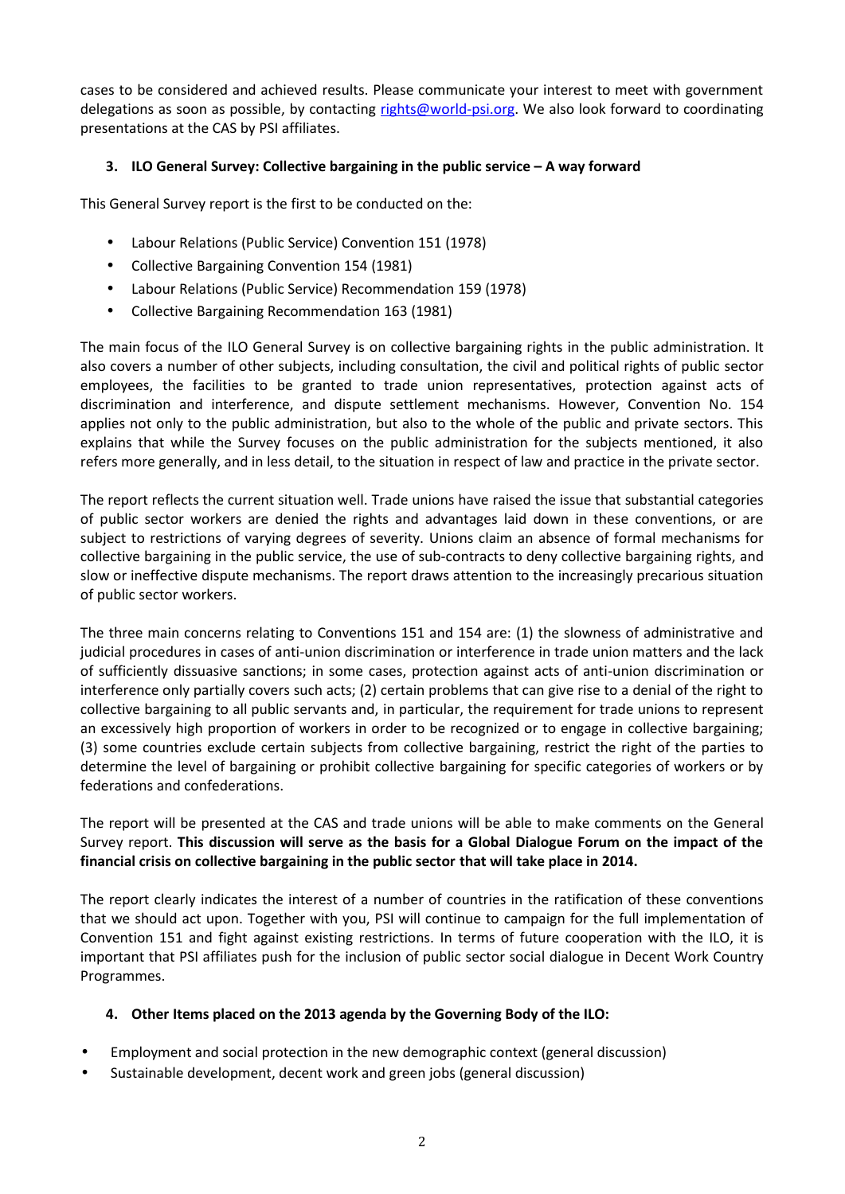cases to be considered and achieved results. Please communicate your interest to meet with government delegations as soon as possible, by contacting rights@world-psi.org. We also look forward to coordinating presentations at the CAS by PSI affiliates.

## **3. ILO General Survey: Collective bargaining in the public service – A way forward**

This General Survey report is the first to be conducted on the:

- Labour Relations (Public Service) Convention 151 (1978)
- Collective Bargaining Convention 154 (1981)
- Labour Relations (Public Service) Recommendation 159 (1978)
- Collective Bargaining Recommendation 163 (1981)

The main focus of the ILO General Survey is on collective bargaining rights in the public administration. It also covers a number of other subjects, including consultation, the civil and political rights of public sector employees, the facilities to be granted to trade union representatives, protection against acts of discrimination and interference, and dispute settlement mechanisms. However, Convention No. 154 applies not only to the public administration, but also to the whole of the public and private sectors. This explains that while the Survey focuses on the public administration for the subjects mentioned, it also refers more generally, and in less detail, to the situation in respect of law and practice in the private sector.

The report reflects the current situation well. Trade unions have raised the issue that substantial categories of public sector workers are denied the rights and advantages laid down in these conventions, or are subject to restrictions of varying degrees of severity. Unions claim an absence of formal mechanisms for collective bargaining in the public service, the use of sub-contracts to deny collective bargaining rights, and slow or ineffective dispute mechanisms. The report draws attention to the increasingly precarious situation of public sector workers.

The three main concerns relating to Conventions 151 and 154 are: (1) the slowness of administrative and judicial procedures in cases of anti-union discrimination or interference in trade union matters and the lack of sufficiently dissuasive sanctions; in some cases, protection against acts of anti-union discrimination or interference only partially covers such acts; (2) certain problems that can give rise to a denial of the right to collective bargaining to all public servants and, in particular, the requirement for trade unions to represent an excessively high proportion of workers in order to be recognized or to engage in collective bargaining; (3) some countries exclude certain subjects from collective bargaining, restrict the right of the parties to determine the level of bargaining or prohibit collective bargaining for specific categories of workers or by federations and confederations.

The report will be presented at the CAS and trade unions will be able to make comments on the General Survey report. **This discussion will serve as the basis for a Global Dialogue Forum on the impact of the financial crisis on collective bargaining in the public sector that will take place in 2014.**

The report clearly indicates the interest of a number of countries in the ratification of these conventions that we should act upon. Together with you, PSI will continue to campaign for the full implementation of Convention 151 and fight against existing restrictions. In terms of future cooperation with the ILO, it is important that PSI affiliates push for the inclusion of public sector social dialogue in Decent Work Country Programmes.

### **4. Other Items placed on the 2013 agenda by the Governing Body of the ILO:**

- Employment and social protection in the new demographic context (general discussion)
- Sustainable development, decent work and green jobs (general discussion)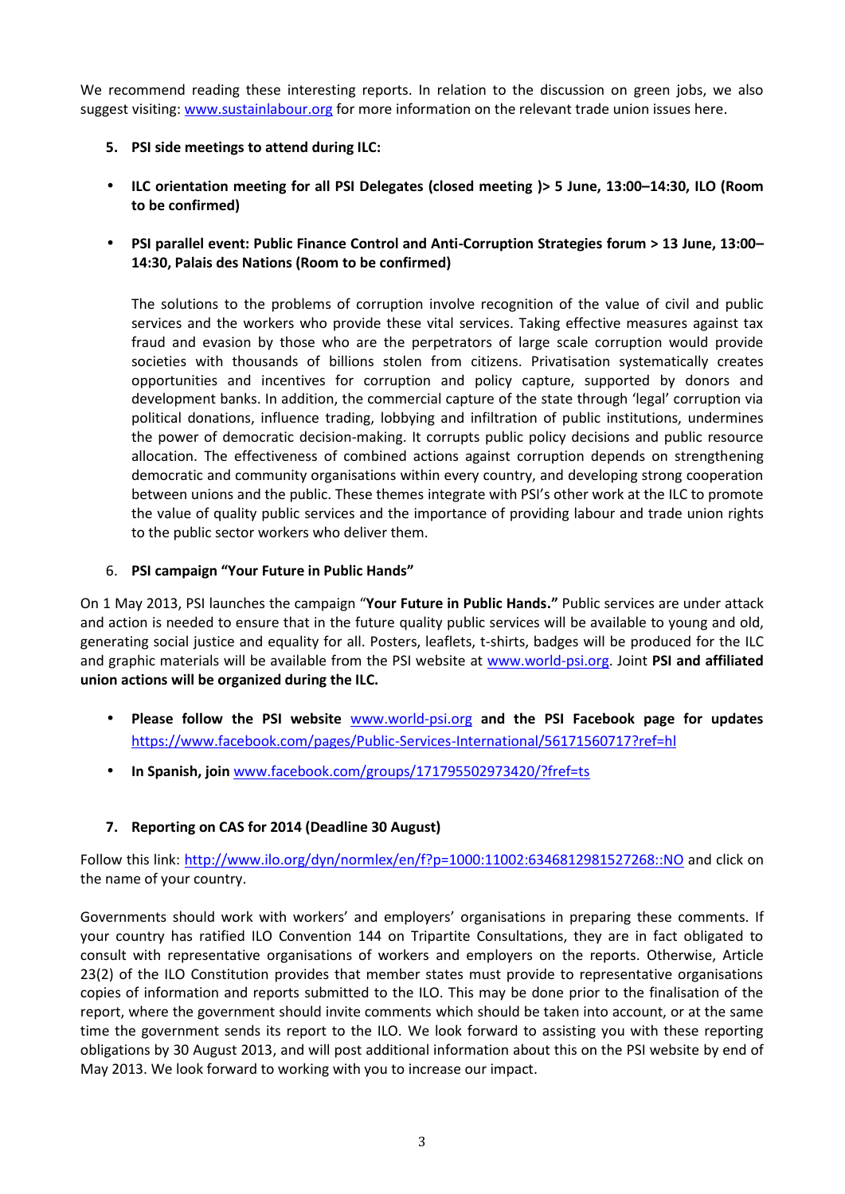We recommend reading these interesting reports. In relation to the discussion on green jobs, we also suggest visiting: www.sustainlabour.org for more information on the relevant trade union issues here.

- **5. PSI side meetings to attend during ILC:**
- **ILC orientation meeting for all PSI Delegates (closed meeting )> 5 June, 13:00–14:30, ILO (Room to be confirmed)**
- **PSI parallel event: Public Finance Control and Anti-Corruption Strategies forum > 13 June, 13:00– 14:30, Palais des Nations (Room to be confirmed)**

The solutions to the problems of corruption involve recognition of the value of civil and public services and the workers who provide these vital services. Taking effective measures against tax fraud and evasion by those who are the perpetrators of large scale corruption would provide societies with thousands of billions stolen from citizens. Privatisation systematically creates opportunities and incentives for corruption and policy capture, supported by donors and development banks. In addition, the commercial capture of the state through 'legal' corruption via political donations, influence trading, lobbying and infiltration of public institutions, undermines the power of democratic decision-making. It corrupts public policy decisions and public resource allocation. The effectiveness of combined actions against corruption depends on strengthening democratic and community organisations within every country, and developing strong cooperation between unions and the public. These themes integrate with PSI's other work at the ILC to promote the value of quality public services and the importance of providing labour and trade union rights to the public sector workers who deliver them.

### 6. **PSI campaign "Your Future in Public Hands"**

On 1 May 2013, PSI launches the campaign "**Your Future in Public Hands."** Public services are under attack and action is needed to ensure that in the future quality public services will be available to young and old, generating social justice and equality for all. Posters, leaflets, t-shirts, badges will be produced for the ILC and graphic materials will be available from the PSI website at www.world-psi.org. Joint **PSI and affiliated union actions will be organized during the ILC.**

- **Please follow the PSI website** www.world-psi.org **and the PSI Facebook page for updates** https://www.facebook.com/pages/Public-Services-International/56171560717?ref=hl
- **In Spanish, join** www.facebook.com/groups/171795502973420/?fref=ts

### **7. Reporting on CAS for 2014 (Deadline 30 August)**

Follow this link: http://www.ilo.org/dyn/normlex/en/f?p=1000:11002:6346812981527268::NO and click on the name of your country.

Governments should work with workers' and employers' organisations in preparing these comments. If your country has ratified ILO Convention 144 on Tripartite Consultations, they are in fact obligated to consult with representative organisations of workers and employers on the reports. Otherwise, Article 23(2) of the ILO Constitution provides that member states must provide to representative organisations copies of information and reports submitted to the ILO. This may be done prior to the finalisation of the report, where the government should invite comments which should be taken into account, or at the same time the government sends its report to the ILO. We look forward to assisting you with these reporting obligations by 30 August 2013, and will post additional information about this on the PSI website by end of May 2013. We look forward to working with you to increase our impact.